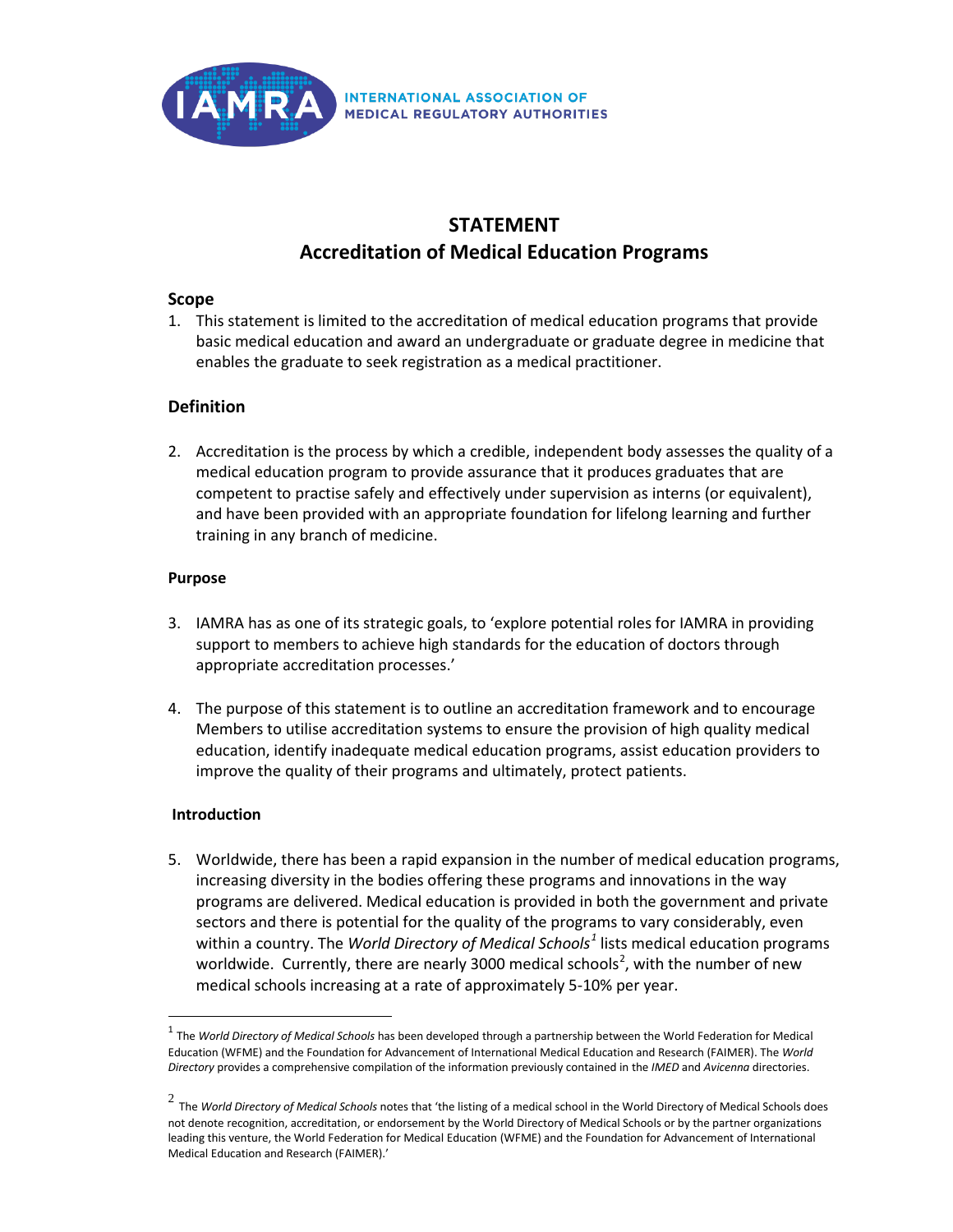

# **STATEMENT Accreditation of Medical Education Programs**

#### **Scope**

1. This statement is limited to the accreditation of medical education programs that provide basic medical education and award an undergraduate or graduate degree in medicine that enables the graduate to seek registration as a medical practitioner.

## **Definition**

2. Accreditation is the process by which a credible, independent body assesses the quality of a medical education program to provide assurance that it produces graduates that are competent to practise safely and effectively under supervision as interns (or equivalent), and have been provided with an appropriate foundation for lifelong learning and further training in any branch of medicine.

#### **Purpose**

- 3. IAMRA has as one of its strategic goals, to 'explore potential roles for IAMRA in providing support to members to achieve high standards for the education of doctors through appropriate accreditation processes.'
- 4. The purpose of this statement is to outline an accreditation framework and to encourage Members to utilise accreditation systems to ensure the provision of high quality medical education, identify inadequate medical education programs, assist education providers to improve the quality of their programs and ultimately, protect patients.

### **Introduction**

5. Worldwide, there has been a rapid expansion in the number of medical education programs, increasing diversity in the bodies offering these programs and innovations in the way programs are delivered. Medical education is provided in both the government and private sectors and there is potential for the quality of the programs to vary considerably, even within a country. The *World Directory of Medical Schools[1](#page-0-0)* lists medical education programs worldwide. Currently, there are nearly 3000 medical schools<sup>[2](#page-0-1)</sup>, with the number of new medical schools increasing at a rate of approximately 5-10% per year.

<span id="page-0-0"></span><sup>1</sup> The *World Directory of Medical Schools* has been developed through a partnership between the World Federation for Medical Education (WFME) and the Foundation for Advancement of International Medical Education and Research (FAIMER). The *World Directory* provides a comprehensive compilation of the information previously contained in the *IMED* and *Avicenna* directories.

<span id="page-0-1"></span><sup>2</sup> The *World Directory of Medical Schools* notes that 'the listing of a medical school in the World Directory of Medical Schools does not denote recognition, accreditation, or endorsement by the World Directory of Medical Schools or by the partner organizations leading this venture, the World Federation for Medical Education (WFME) and the Foundation for Advancement of International Medical Education and Research (FAIMER).'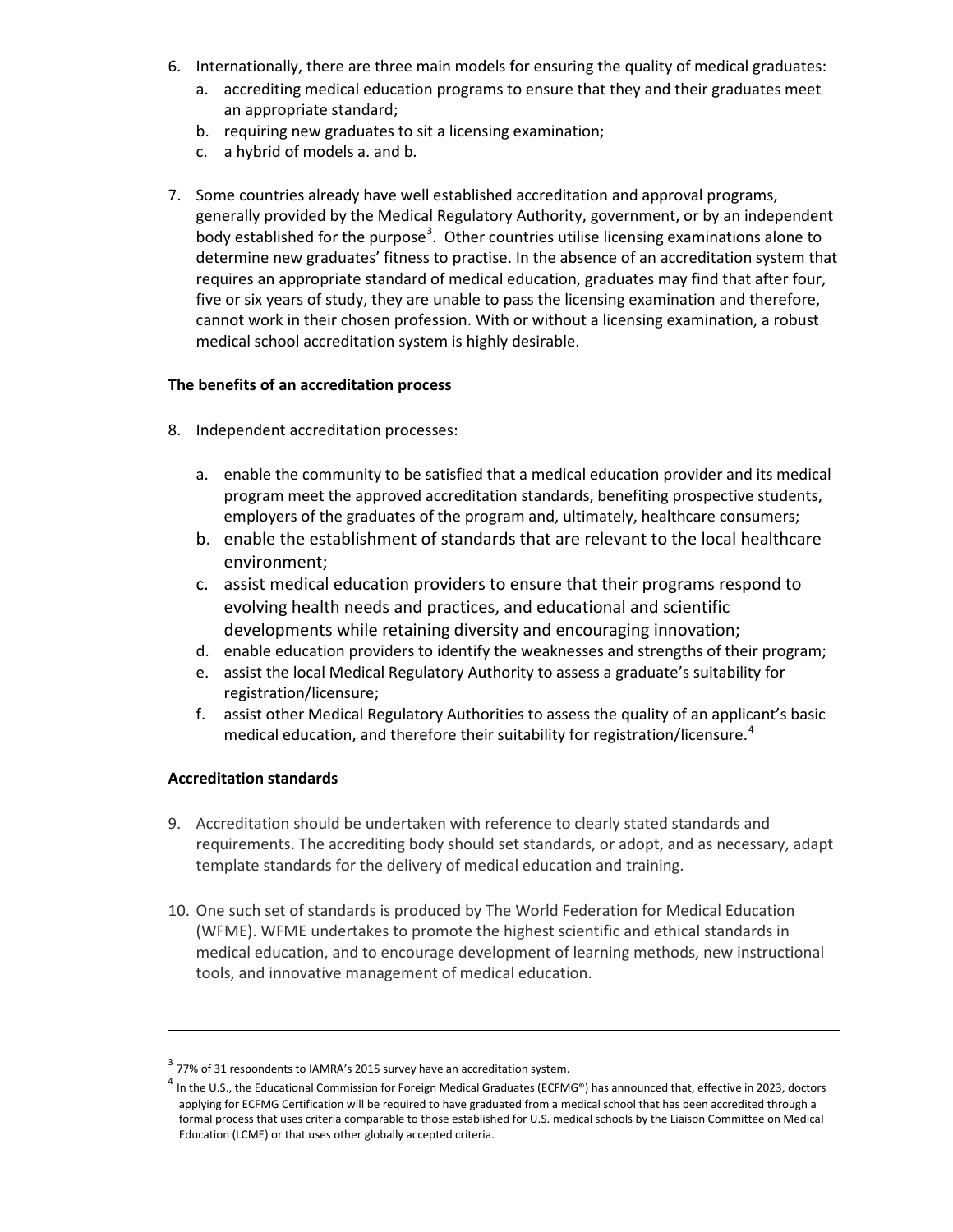- 6. Internationally, there are three main models for ensuring the quality of medical graduates:
	- a. accrediting medical education programs to ensure that they and their graduates meet an appropriate standard;
	- b. requiring new graduates to sit a licensing examination;
	- c. a hybrid of models a. and b.
- 7. Some countries already have well established accreditation and approval programs, generally provided by the Medical Regulatory Authority, government, or by an independent body established for the purpose<sup>[3](#page-1-0)</sup>. Other countries utilise licensing examinations alone to determine new graduates' fitness to practise. In the absence of an accreditation system that requires an appropriate standard of medical education, graduates may find that after four, five or six years of study, they are unable to pass the licensing examination and therefore, cannot work in their chosen profession. With or without a licensing examination, a robust medical school accreditation system is highly desirable.

## **The benefits of an accreditation process**

- 8. Independent accreditation processes:
	- a. enable the community to be satisfied that a medical education provider and its medical program meet the approved accreditation standards, benefiting prospective students, employers of the graduates of the program and, ultimately, healthcare consumers;
	- b. enable the establishment of standards that are relevant to the local healthcare environment;
	- c. assist medical education providers to ensure that their programs respond to evolving health needs and practices, and educational and scientific developments while retaining diversity and encouraging innovation;
	- d. enable education providers to identify the weaknesses and strengths of their program;
	- e. assist the local Medical Regulatory Authority to assess a graduate's suitability for registration/licensure;
	- f. assist other Medical Regulatory Authorities to assess the quality of an applicant's basic medical education, and therefore their suitability for registration/licensure.<sup>[4](#page-1-1)</sup>

# **Accreditation standards**

 $\overline{a}$ 

- 9. Accreditation should be undertaken with reference to clearly stated standards and requirements. The accrediting body should set standards, or adopt, and as necessary, adapt template standards for the delivery of medical education and training.
- 10. One such set of standards is produced by The World Federation for Medical Education (WFME). WFME undertakes to promote the highest scientific and ethical standards in medical education, and to encourage development of learning methods, new instructional tools, and innovative management of medical education.

<span id="page-1-1"></span><span id="page-1-0"></span> $3$  77% of 31 respondents to IAMRA's 2015 survey have an accreditation system.

In the U.S., the Educational Commission for Foreign Medical Graduates (ECFMG®) has announced that, effective in 2023, doctors applying for ECFMG Certification will be required to have graduated from a medical school that has been accredited through a formal process that uses criteria comparable to those established for U.S. medical schools by the Liaison Committee on Medical Education (LCME) or that uses other globally accepted criteria.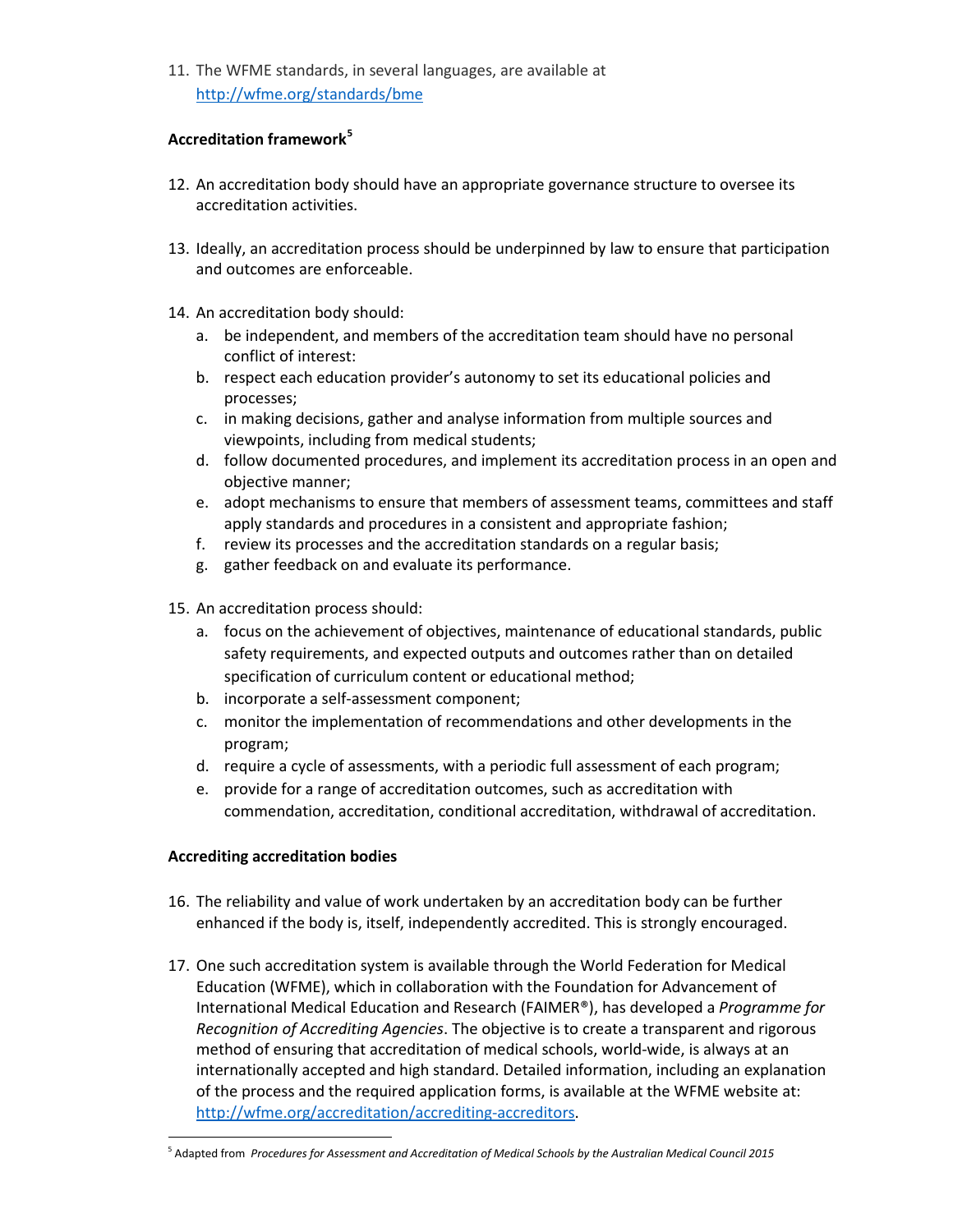11. The WFME standards, in several languages, are available at <http://wfme.org/standards/bme>

## **Accreditation framework[5](#page-2-0)**

- 12. An accreditation body should have an appropriate governance structure to oversee its accreditation activities.
- 13. Ideally, an accreditation process should be underpinned by law to ensure that participation and outcomes are enforceable.
- 14. An accreditation body should:
	- a. be independent, and members of the accreditation team should have no personal conflict of interest:
	- b. respect each education provider's autonomy to set its educational policies and processes;
	- c. in making decisions, gather and analyse information from multiple sources and viewpoints, including from medical students;
	- d. follow documented procedures, and implement its accreditation process in an open and objective manner;
	- e. adopt mechanisms to ensure that members of assessment teams, committees and staff apply standards and procedures in a consistent and appropriate fashion;
	- f. review its processes and the accreditation standards on a regular basis;
	- g. gather feedback on and evaluate its performance.
- 15. An accreditation process should:
	- a. focus on the achievement of objectives, maintenance of educational standards, public safety requirements, and expected outputs and outcomes rather than on detailed specification of curriculum content or educational method;
	- b. incorporate a self-assessment component;
	- c. monitor the implementation of recommendations and other developments in the program;
	- d. require a cycle of assessments, with a periodic full assessment of each program;
	- e. provide for a range of accreditation outcomes, such as accreditation with commendation, accreditation, conditional accreditation, withdrawal of accreditation.

# **Accrediting accreditation bodies**

- 16. The reliability and value of work undertaken by an accreditation body can be further enhanced if the body is, itself, independently accredited. This is strongly encouraged.
- 17. One such accreditation system is available through the World Federation for Medical Education (WFME), which in collaboration with the Foundation for Advancement of International Medical Education and Research (FAIMER®), has developed a *Programme for Recognition of Accrediting Agencies*. The objective is to create a transparent and rigorous method of ensuring that accreditation of medical schools, world-wide, is always at an internationally accepted and high standard. Detailed information, including an explanation of the process and the required application forms, is available at the WFME website at: [http://wfme.org/accreditation/accrediting-accreditors.](http://wfme.org/accreditation/accrediting-accreditors)

<span id="page-2-0"></span><sup>5</sup> Adapted from *Procedures for Assessment and Accreditation of Medical Schools by the Australian Medical Council 2015*